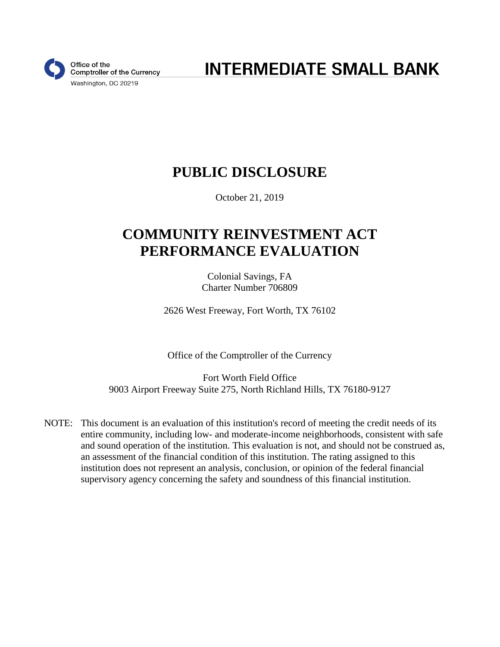

**INTERMEDIATE SMALL BANK** 

# **PUBLIC DISCLOSURE**

October 21, 2019

# **COMMUNITY REINVESTMENT ACT PERFORMANCE EVALUATION**

Colonial Savings, FA Charter Number 706809

2626 West Freeway, Fort Worth, TX 76102

Office of the Comptroller of the Currency

Fort Worth Field Office 9003 Airport Freeway Suite 275, North Richland Hills, TX 76180-9127

NOTE: This document is an evaluation of this institution's record of meeting the credit needs of its entire community, including low- and moderate-income neighborhoods, consistent with safe and sound operation of the institution. This evaluation is not, and should not be construed as, an assessment of the financial condition of this institution. The rating assigned to this institution does not represent an analysis, conclusion, or opinion of the federal financial supervisory agency concerning the safety and soundness of this financial institution.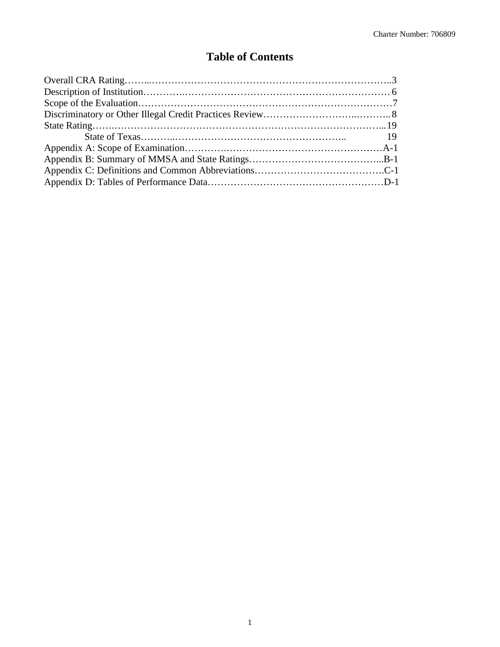## **Table of Contents**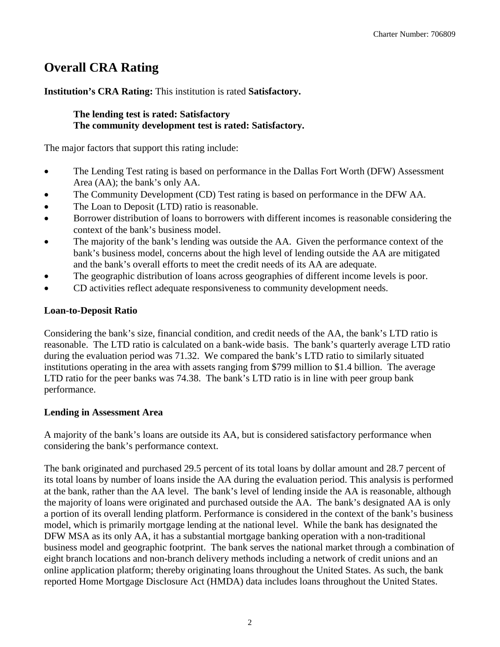# **Overall CRA Rating**

**Institution's CRA Rating:** This institution is rated **Satisfactory.** 

### **The lending test is rated: Satisfactory The community development test is rated: Satisfactory.**

The major factors that support this rating include:

- The Lending Test rating is based on performance in the Dallas Fort Worth (DFW) Assessment Area (AA); the bank's only AA.
- The Community Development (CD) Test rating is based on performance in the DFW AA.
- The Loan to Deposit (LTD) ratio is reasonable.
- Borrower distribution of loans to borrowers with different incomes is reasonable considering the context of the bank's business model.
- The majority of the bank's lending was outside the AA. Given the performance context of the bank's business model, concerns about the high level of lending outside the AA are mitigated and the bank's overall efforts to meet the credit needs of its AA are adequate.
- The geographic distribution of loans across geographies of different income levels is poor.
- CD activities reflect adequate responsiveness to community development needs.

## **Loan-to-Deposit Ratio**

Considering the bank's size, financial condition, and credit needs of the AA, the bank's LTD ratio is reasonable. The LTD ratio is calculated on a bank-wide basis. The bank's quarterly average LTD ratio during the evaluation period was 71.32. We compared the bank's LTD ratio to similarly situated institutions operating in the area with assets ranging from \$799 million to \$1.4 billion. The average LTD ratio for the peer banks was 74.38. The bank's LTD ratio is in line with peer group bank performance.

### **Lending in Assessment Area**

A majority of the bank's loans are outside its AA, but is considered satisfactory performance when considering the bank's performance context.

The bank originated and purchased 29.5 percent of its total loans by dollar amount and 28.7 percent of its total loans by number of loans inside the AA during the evaluation period. This analysis is performed at the bank, rather than the AA level. The bank's level of lending inside the AA is reasonable, although the majority of loans were originated and purchased outside the AA. The bank's designated AA is only a portion of its overall lending platform. Performance is considered in the context of the bank's business model, which is primarily mortgage lending at the national level. While the bank has designated the DFW MSA as its only AA, it has a substantial mortgage banking operation with a non-traditional business model and geographic footprint. The bank serves the national market through a combination of eight branch locations and non-branch delivery methods including a network of credit unions and an online application platform; thereby originating loans throughout the United States. As such, the bank reported Home Mortgage Disclosure Act (HMDA) data includes loans throughout the United States.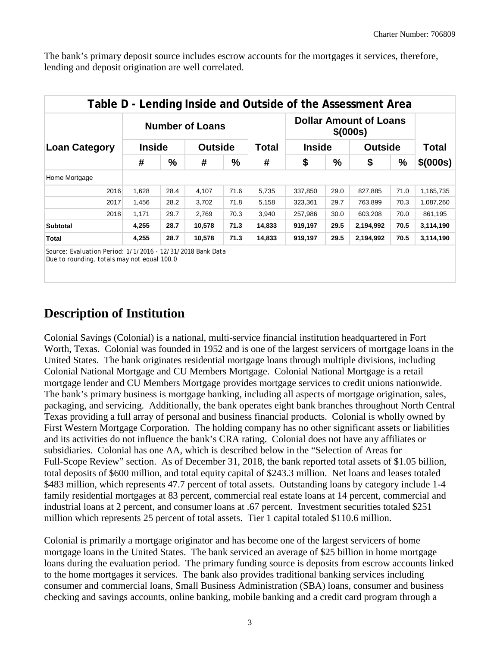The bank's primary deposit source includes escrow accounts for the mortgages it services, therefore, lending and deposit origination are well correlated.

|                      |               |      | <b>Number of Loans</b> |      |        |               |      | <b>Dollar Amount of Loans</b><br>\$ (000s) |              |           |
|----------------------|---------------|------|------------------------|------|--------|---------------|------|--------------------------------------------|--------------|-----------|
| <b>Loan Category</b> | <b>Inside</b> |      | <b>Outside</b>         |      | Total  | <b>Inside</b> |      | <b>Outside</b>                             | <b>Total</b> |           |
|                      | #             | %    | #                      | %    | #      | \$            | %    | \$                                         | $\%$         | \$ (000s) |
| Home Mortgage        |               |      |                        |      |        |               |      |                                            |              |           |
| 2016                 | 1.628         | 28.4 | 4,107                  | 71.6 | 5.735  | 337,850       | 29.0 | 827,885                                    | 71.0         | 1,165,735 |
| 2017                 | 1.456         | 28.2 | 3,702                  | 71.8 | 5,158  | 323,361       | 29.7 | 763,899                                    | 70.3         | 1,087,260 |
| 2018                 | 1,171         | 29.7 | 2,769                  | 70.3 | 3,940  | 257,986       | 30.0 | 603,208                                    | 70.0         | 861,195   |
| <b>Subtotal</b>      | 4,255         | 28.7 | 10,578                 | 71.3 | 14,833 | 919,197       | 29.5 | 2,194,992                                  | 70.5         | 3,114,190 |
| Total                | 4,255         | 28.7 | 10,578                 | 71.3 | 14,833 | 919,197       | 29.5 | 2,194,992                                  | 70.5         | 3,114,190 |

*Source: Evaluation Period: 1/1/2016 - 12/31/2018 Bank Data Due to rounding, totals may not equal 100.0*

# **Description of Institution**

Colonial Savings (Colonial) is a national, multi-service financial institution headquartered in Fort Worth, Texas. Colonial was founded in 1952 and is one of the largest servicers of mortgage loans in the United States. The bank originates residential mortgage loans through multiple divisions, including Colonial National Mortgage and CU Members Mortgage. Colonial National Mortgage is a retail mortgage lender and CU Members Mortgage provides mortgage services to credit unions nationwide. The bank's primary business is mortgage banking, including all aspects of mortgage origination, sales, packaging, and servicing. Additionally, the bank operates eight bank branches throughout North Central Texas providing a full array of personal and business financial products. Colonial is wholly owned by First Western Mortgage Corporation. The holding company has no other significant assets or liabilities and its activities do not influence the bank's CRA rating. Colonial does not have any affiliates or subsidiaries. Colonial has one AA, which is described below in the "Selection of Areas for Full-Scope Review" section. As of December 31, 2018, the bank reported total assets of \$1.05 billion, total deposits of \$600 million, and total equity capital of \$243.3 million. Net loans and leases totaled \$483 million, which represents 47.7 percent of total assets. Outstanding loans by category include 1-4 family residential mortgages at 83 percent, commercial real estate loans at 14 percent, commercial and industrial loans at 2 percent, and consumer loans at .67 percent. Investment securities totaled \$251 million which represents 25 percent of total assets. Tier 1 capital totaled \$110.6 million.

Colonial is primarily a mortgage originator and has become one of the largest servicers of home mortgage loans in the United States. The bank serviced an average of \$25 billion in home mortgage loans during the evaluation period. The primary funding source is deposits from escrow accounts linked to the home mortgages it services. The bank also provides traditional banking services including consumer and commercial loans, Small Business Administration (SBA) loans, consumer and business checking and savings accounts, online banking, mobile banking and a credit card program through a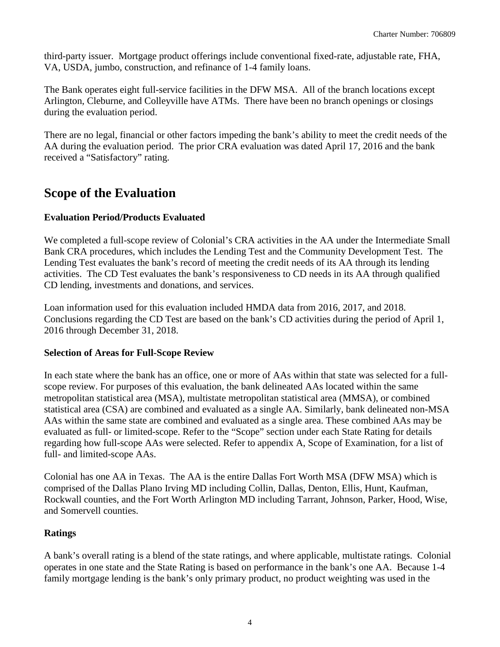third-party issuer. Mortgage product offerings include conventional fixed-rate, adjustable rate, FHA, VA, USDA, jumbo, construction, and refinance of 1-4 family loans.

The Bank operates eight full-service facilities in the DFW MSA. All of the branch locations except Arlington, Cleburne, and Colleyville have ATMs. There have been no branch openings or closings during the evaluation period.

There are no legal, financial or other factors impeding the bank's ability to meet the credit needs of the AA during the evaluation period. The prior CRA evaluation was dated April 17, 2016 and the bank received a "Satisfactory" rating.

## **Scope of the Evaluation**

## **Evaluation Period/Products Evaluated**

We completed a full-scope review of Colonial's CRA activities in the AA under the Intermediate Small Bank CRA procedures, which includes the Lending Test and the Community Development Test. The Lending Test evaluates the bank's record of meeting the credit needs of its AA through its lending activities. The CD Test evaluates the bank's responsiveness to CD needs in its AA through qualified CD lending, investments and donations, and services.

Loan information used for this evaluation included HMDA data from 2016, 2017, and 2018. Conclusions regarding the CD Test are based on the bank's CD activities during the period of April 1, 2016 through December 31, 2018.

### **Selection of Areas for Full-Scope Review**

In each state where the bank has an office, one or more of AAs within that state was selected for a fullscope review. For purposes of this evaluation, the bank delineated AAs located within the same metropolitan statistical area (MSA), multistate metropolitan statistical area (MMSA), or combined statistical area (CSA) are combined and evaluated as a single AA. Similarly, bank delineated non-MSA AAs within the same state are combined and evaluated as a single area. These combined AAs may be evaluated as full- or limited-scope. Refer to the "Scope" section under each State Rating for details regarding how full-scope AAs were selected. Refer to appendix A, Scope of Examination, for a list of full- and limited-scope AAs.

Colonial has one AA in Texas. The AA is the entire Dallas Fort Worth MSA (DFW MSA) which is comprised of the Dallas Plano Irving MD including Collin, Dallas, Denton, Ellis, Hunt, Kaufman, Rockwall counties, and the Fort Worth Arlington MD including Tarrant, Johnson, Parker, Hood, Wise, and Somervell counties.

### **Ratings**

A bank's overall rating is a blend of the state ratings, and where applicable, multistate ratings. Colonial operates in one state and the State Rating is based on performance in the bank's one AA. Because 1-4 family mortgage lending is the bank's only primary product, no product weighting was used in the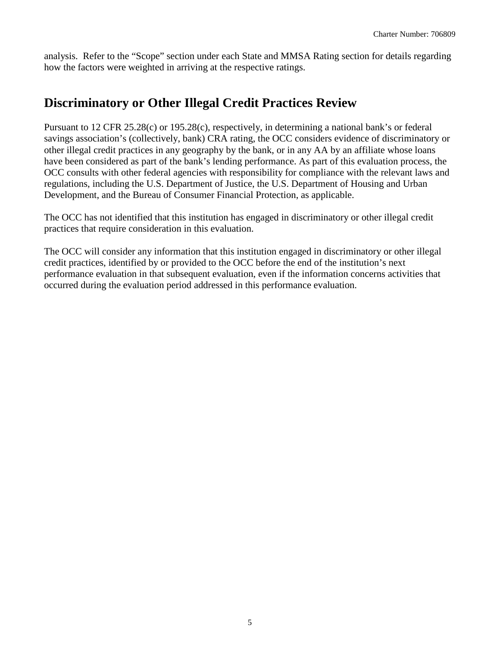analysis. Refer to the "Scope" section under each State and MMSA Rating section for details regarding how the factors were weighted in arriving at the respective ratings.

## **Discriminatory or Other Illegal Credit Practices Review**

Pursuant to 12 CFR 25.28(c) or 195.28(c), respectively, in determining a national bank's or federal savings association's (collectively, bank) CRA rating, the OCC considers evidence of discriminatory or other illegal credit practices in any geography by the bank, or in any AA by an affiliate whose loans have been considered as part of the bank's lending performance. As part of this evaluation process, the OCC consults with other federal agencies with responsibility for compliance with the relevant laws and regulations, including the U.S. Department of Justice, the U.S. Department of Housing and Urban Development, and the Bureau of Consumer Financial Protection, as applicable.

The OCC has not identified that this institution has engaged in discriminatory or other illegal credit practices that require consideration in this evaluation.

The OCC will consider any information that this institution engaged in discriminatory or other illegal credit practices, identified by or provided to the OCC before the end of the institution's next performance evaluation in that subsequent evaluation, even if the information concerns activities that occurred during the evaluation period addressed in this performance evaluation.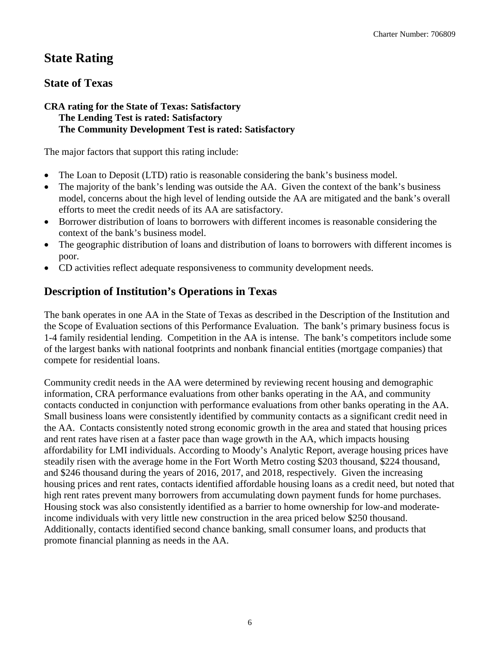# **State Rating**

## **State of Texas**

### **CRA rating for the State of Texas: Satisfactory The Lending Test is rated: Satisfactory The Community Development Test is rated: Satisfactory**

The major factors that support this rating include:

- The Loan to Deposit (LTD) ratio is reasonable considering the bank's business model.
- The majority of the bank's lending was outside the AA. Given the context of the bank's business model, concerns about the high level of lending outside the AA are mitigated and the bank's overall efforts to meet the credit needs of its AA are satisfactory.
- Borrower distribution of loans to borrowers with different incomes is reasonable considering the context of the bank's business model.
- The geographic distribution of loans and distribution of loans to borrowers with different incomes is poor.
- CD activities reflect adequate responsiveness to community development needs.

## **Description of Institution's Operations in Texas**

The bank operates in one AA in the State of Texas as described in the Description of the Institution and the Scope of Evaluation sections of this Performance Evaluation. The bank's primary business focus is 1-4 family residential lending. Competition in the AA is intense. The bank's competitors include some of the largest banks with national footprints and nonbank financial entities (mortgage companies) that compete for residential loans.

Community credit needs in the AA were determined by reviewing recent housing and demographic information, CRA performance evaluations from other banks operating in the AA, and community contacts conducted in conjunction with performance evaluations from other banks operating in the AA. Small business loans were consistently identified by community contacts as a significant credit need in the AA. Contacts consistently noted strong economic growth in the area and stated that housing prices and rent rates have risen at a faster pace than wage growth in the AA, which impacts housing affordability for LMI individuals. According to Moody's Analytic Report, average housing prices have steadily risen with the average home in the Fort Worth Metro costing \$203 thousand, \$224 thousand, and \$246 thousand during the years of 2016, 2017, and 2018, respectively. Given the increasing housing prices and rent rates, contacts identified affordable housing loans as a credit need, but noted that high rent rates prevent many borrowers from accumulating down payment funds for home purchases. Housing stock was also consistently identified as a barrier to home ownership for low-and moderateincome individuals with very little new construction in the area priced below \$250 thousand. Additionally, contacts identified second chance banking, small consumer loans, and products that promote financial planning as needs in the AA.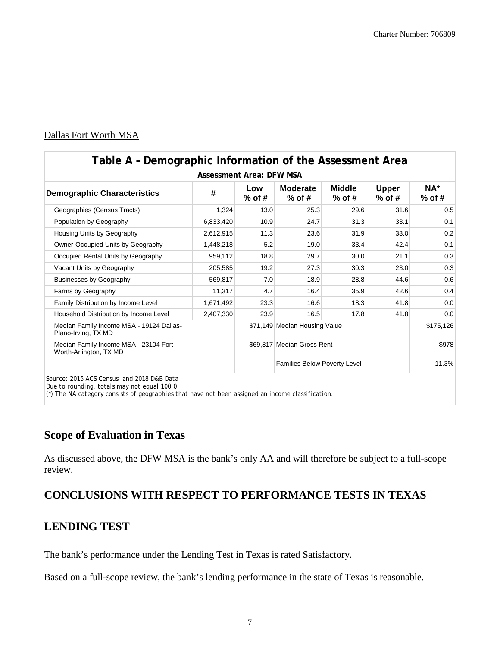### Dallas Fort Worth MSA

| <b>Assessment Area: DFW MSA</b>                                 |           |                 |                                     |                               |                          |                 |  |  |  |  |  |  |  |  |
|-----------------------------------------------------------------|-----------|-----------------|-------------------------------------|-------------------------------|--------------------------|-----------------|--|--|--|--|--|--|--|--|
| <b>Demographic Characteristics</b>                              | #         | Low<br>$%$ of # | <b>Moderate</b><br>$%$ of #         | <b>Middle</b><br>$%$ of #     | <b>Upper</b><br>$%$ of # | NA*<br>$%$ of # |  |  |  |  |  |  |  |  |
| Geographies (Census Tracts)                                     | 1,324     | 13.0            | 25.3                                | 29.6                          | 31.6                     | 0.5             |  |  |  |  |  |  |  |  |
| Population by Geography                                         | 6,833,420 | 10.9            | 24.7                                | 31.3                          | 33.1                     | 0.1             |  |  |  |  |  |  |  |  |
| Housing Units by Geography                                      | 2,612,915 | 11.3            | 23.6                                | 31.9                          | 33.0                     | 0.2             |  |  |  |  |  |  |  |  |
| Owner-Occupied Units by Geography                               | 1,448,218 | 5.2             | 19.0                                | 33.4                          | 42.4                     | 0.1             |  |  |  |  |  |  |  |  |
| Occupied Rental Units by Geography                              | 959,112   | 18.8            | 29.7                                | 30.0                          | 21.1                     | 0.3             |  |  |  |  |  |  |  |  |
| Vacant Units by Geography                                       | 205,585   | 19.2            | 27.3                                | 30.3                          | 23.0                     | 0.3             |  |  |  |  |  |  |  |  |
| <b>Businesses by Geography</b>                                  | 569,817   | 7.0             | 18.9                                | 28.8                          | 44.6                     | 0.6             |  |  |  |  |  |  |  |  |
| Farms by Geography                                              | 11,317    | 4.7             | 16.4                                | 35.9                          | 42.6                     | 0.4             |  |  |  |  |  |  |  |  |
| Family Distribution by Income Level                             | 1,671,492 | 23.3            | 16.6                                | 18.3                          | 41.8                     | 0.0             |  |  |  |  |  |  |  |  |
| Household Distribution by Income Level                          | 2,407,330 | 23.9            | 16.5                                | 17.8                          | 41.8                     | 0.0             |  |  |  |  |  |  |  |  |
| Median Family Income MSA - 19124 Dallas-<br>Plano-Irving, TX MD |           |                 |                                     | \$71,149 Median Housing Value |                          |                 |  |  |  |  |  |  |  |  |
| Median Family Income MSA - 23104 Fort<br>Worth-Arlington, TX MD |           |                 | \$69.817 Median Gross Rent          |                               | \$978                    |                 |  |  |  |  |  |  |  |  |
|                                                                 |           |                 | <b>Families Below Poverty Level</b> | 11.3%                         |                          |                 |  |  |  |  |  |  |  |  |

*Due to rounding, totals may not equal 100.0*

*(\*) The NA category consists of geographies that have not been assigned an income classification.*

## **Scope of Evaluation in Texas**

As discussed above, the DFW MSA is the bank's only AA and will therefore be subject to a full-scope review.

## **CONCLUSIONS WITH RESPECT TO PERFORMANCE TESTS IN TEXAS**

## **LENDING TEST**

The bank's performance under the Lending Test in Texas is rated Satisfactory.

Based on a full-scope review, the bank's lending performance in the state of Texas is reasonable.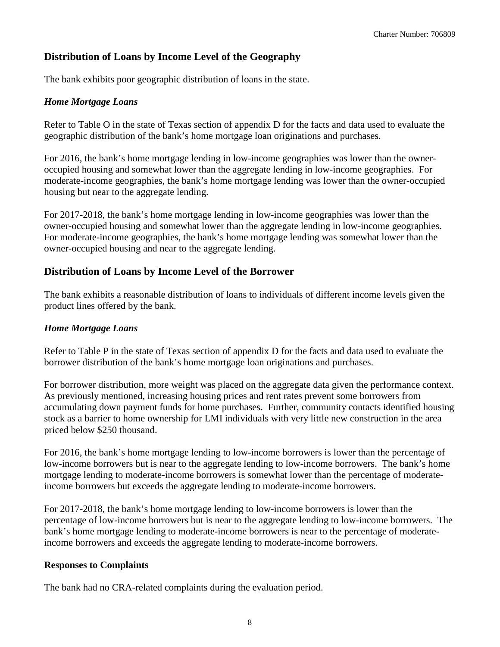## **Distribution of Loans by Income Level of the Geography**

The bank exhibits poor geographic distribution of loans in the state.

#### *Home Mortgage Loans*

Refer to Table O in the state of Texas section of appendix D for the facts and data used to evaluate the geographic distribution of the bank's home mortgage loan originations and purchases.

For 2016, the bank's home mortgage lending in low-income geographies was lower than the owneroccupied housing and somewhat lower than the aggregate lending in low-income geographies. For moderate-income geographies, the bank's home mortgage lending was lower than the owner-occupied housing but near to the aggregate lending.

For 2017-2018, the bank's home mortgage lending in low-income geographies was lower than the owner-occupied housing and somewhat lower than the aggregate lending in low-income geographies. For moderate-income geographies, the bank's home mortgage lending was somewhat lower than the owner-occupied housing and near to the aggregate lending.

### **Distribution of Loans by Income Level of the Borrower**

The bank exhibits a reasonable distribution of loans to individuals of different income levels given the product lines offered by the bank.

#### *Home Mortgage Loans*

Refer to Table P in the state of Texas section of appendix D for the facts and data used to evaluate the borrower distribution of the bank's home mortgage loan originations and purchases.

For borrower distribution, more weight was placed on the aggregate data given the performance context. As previously mentioned, increasing housing prices and rent rates prevent some borrowers from accumulating down payment funds for home purchases. Further, community contacts identified housing stock as a barrier to home ownership for LMI individuals with very little new construction in the area priced below \$250 thousand.

For 2016, the bank's home mortgage lending to low-income borrowers is lower than the percentage of low-income borrowers but is near to the aggregate lending to low-income borrowers. The bank's home mortgage lending to moderate-income borrowers is somewhat lower than the percentage of moderateincome borrowers but exceeds the aggregate lending to moderate-income borrowers.

For 2017-2018, the bank's home mortgage lending to low-income borrowers is lower than the percentage of low-income borrowers but is near to the aggregate lending to low-income borrowers. The bank's home mortgage lending to moderate-income borrowers is near to the percentage of moderateincome borrowers and exceeds the aggregate lending to moderate-income borrowers.

#### **Responses to Complaints**

The bank had no CRA-related complaints during the evaluation period.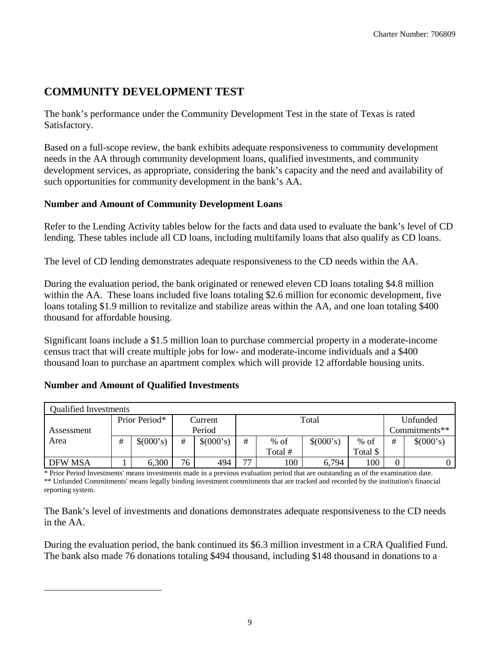## **COMMUNITY DEVELOPMENT TEST**

The bank's performance under the Community Development Test in the state of Texas is rated Satisfactory.

Based on a full-scope review, the bank exhibits adequate responsiveness to community development needs in the AA through community development loans, qualified investments, and community development services, as appropriate, considering the bank's capacity and the need and availability of such opportunities for community development in the bank's AA.

### **Number and Amount of Community Development Loans**

Refer to the Lending Activity tables below for the facts and data used to evaluate the bank's level of CD lending. These tables include all CD loans, including multifamily loans that also qualify as CD loans.

The level of CD lending demonstrates adequate responsiveness to the CD needs within the AA.

During the evaluation period, the bank originated or renewed eleven CD loans totaling \$4.8 million within the AA. These loans included five loans totaling \$2.6 million for economic development, five loans totaling \$1.9 million to revitalize and stabilize areas within the AA, and one loan totaling \$400 thousand for affordable housing.

Significant loans include a \$1.5 million loan to purchase commercial property in a moderate-income census tract that will create multiple jobs for low- and moderate-income individuals and a \$400 thousand loan to purchase an apartment complex which will provide 12 affordable housing units.

|                | <b>Qualified Investments</b> |               |    |           |                          |         |           |               |          |           |  |  |  |  |  |
|----------------|------------------------------|---------------|----|-----------|--------------------------|---------|-----------|---------------|----------|-----------|--|--|--|--|--|
|                |                              | Prior Period* |    | Current   |                          |         | Total     |               | Unfunded |           |  |  |  |  |  |
| Assessment     |                              |               |    | Period    |                          |         |           | Commitments** |          |           |  |  |  |  |  |
| Area           | #                            | \$(000's)     | #  | \$(000's) | #                        | $%$ of  | \$(000's) |               |          | \$(000's) |  |  |  |  |  |
|                |                              |               |    |           |                          | Total # |           | Total \$      |          |           |  |  |  |  |  |
| <b>DFW MSA</b> |                              | 6,300         | 76 | 494       | $\overline{\phantom{a}}$ | 100     | 6,794     | 100           | 0        |           |  |  |  |  |  |

#### **Number and Amount of Qualified Investments**

<span id="page-9-0"></span> $\overline{a}$ 

\* Prior Period Investments' means investments made in a previous evaluation period that are outstanding as of the examination date. \*\* Unfunded Commitments' means legally binding investment commitments that are tracked and recorded by the institution's financial reporting system.

The Bank's level of investments and donations demonstrates adequate responsiveness to the CD needs in the AA.

During the evaluation period, the bank continued its \$6.3 million investment in a CRA Qualified Fund. The bank also made 76 donations totaling \$494 thousand, including \$148 thousand in donations to a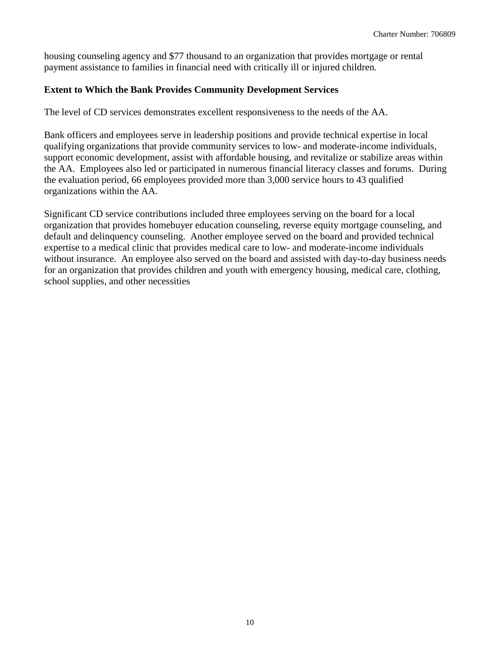housing counseling agency and \$77 thousand to an organization that provides mortgage or rental payment assistance to families in financial need with critically ill or injured children.

### **Extent to Which the Bank Provides Community Development Services**

The level of CD services demonstrates excellent responsiveness to the needs of the AA.

Bank officers and employees serve in leadership positions and provide technical expertise in local qualifying organizations that provide community services to low- and moderate-income individuals, support economic development, assist with affordable housing, and revitalize or stabilize areas within the AA. Employees also led or participated in numerous financial literacy classes and forums. During the evaluation period, 66 employees provided more than 3,000 service hours to 43 qualified organizations within the AA.

Significant CD service contributions included three employees serving on the board for a local organization that provides homebuyer education counseling, reverse equity mortgage counseling, and default and delinquency counseling. Another employee served on the board and provided technical expertise to a medical clinic that provides medical care to low- and moderate-income individuals without insurance. An employee also served on the board and assisted with day-to-day business needs for an organization that provides children and youth with emergency housing, medical care, clothing, school supplies, and other necessities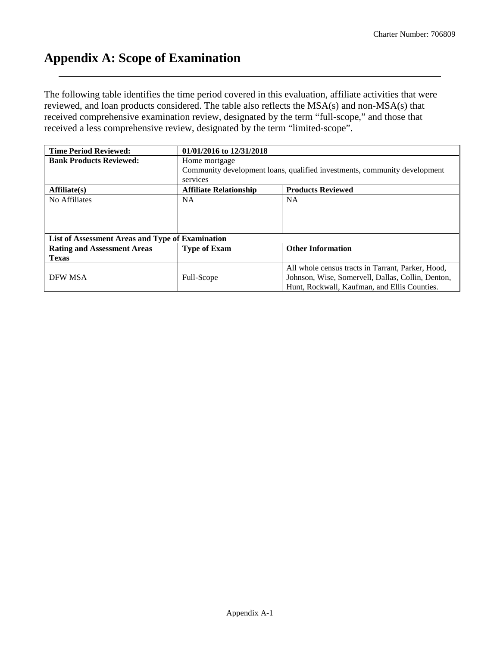## **Appendix A: Scope of Examination**

The following table identifies the time period covered in this evaluation, affiliate activities that were reviewed, and loan products considered. The table also reflects the MSA(s) and non-MSA(s) that received comprehensive examination review, designated by the term "full-scope," and those that received a less comprehensive review, designated by the term "limited-scope".

| <b>Time Period Reviewed:</b>                     | 01/01/2016 to 12/31/2018                                                  |                                                   |  |  |  |  |  |  |  |  |  |  |
|--------------------------------------------------|---------------------------------------------------------------------------|---------------------------------------------------|--|--|--|--|--|--|--|--|--|--|
| <b>Bank Products Reviewed:</b>                   | Home mortgage                                                             |                                                   |  |  |  |  |  |  |  |  |  |  |
|                                                  | Community development loans, qualified investments, community development |                                                   |  |  |  |  |  |  |  |  |  |  |
|                                                  | services                                                                  |                                                   |  |  |  |  |  |  |  |  |  |  |
| Affiliate(s)                                     | <b>Affiliate Relationship</b>                                             | <b>Products Reviewed</b>                          |  |  |  |  |  |  |  |  |  |  |
| No Affiliates                                    | <b>NA</b>                                                                 | <b>NA</b>                                         |  |  |  |  |  |  |  |  |  |  |
|                                                  |                                                                           |                                                   |  |  |  |  |  |  |  |  |  |  |
|                                                  |                                                                           |                                                   |  |  |  |  |  |  |  |  |  |  |
|                                                  |                                                                           |                                                   |  |  |  |  |  |  |  |  |  |  |
| List of Assessment Areas and Type of Examination |                                                                           |                                                   |  |  |  |  |  |  |  |  |  |  |
| <b>Rating and Assessment Areas</b>               | <b>Type of Exam</b>                                                       | <b>Other Information</b>                          |  |  |  |  |  |  |  |  |  |  |
| <b>Texas</b>                                     |                                                                           |                                                   |  |  |  |  |  |  |  |  |  |  |
|                                                  |                                                                           | All whole census tracts in Tarrant, Parker, Hood, |  |  |  |  |  |  |  |  |  |  |
| DFW MSA                                          | Full-Scope                                                                | Johnson, Wise, Somervell, Dallas, Collin, Denton, |  |  |  |  |  |  |  |  |  |  |
|                                                  |                                                                           | Hunt, Rockwall, Kaufman, and Ellis Counties.      |  |  |  |  |  |  |  |  |  |  |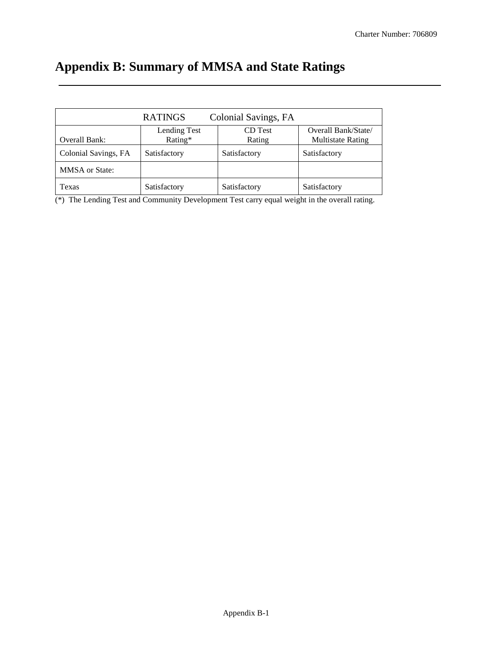# **Appendix B: Summary of MMSA and State Ratings**

|                       | <b>RATINGS</b>          | Colonial Savings, FA |                                                 |
|-----------------------|-------------------------|----------------------|-------------------------------------------------|
| Overall Bank:         | Lending Test<br>Rating* | CD Test<br>Rating    | Overall Bank/State/<br><b>Multistate Rating</b> |
| Colonial Savings, FA  | Satisfactory            | Satisfactory         | Satisfactory                                    |
| <b>MMSA</b> or State: |                         |                      |                                                 |
| Texas                 | Satisfactory            | Satisfactory         | Satisfactory                                    |

(\*) The Lending Test and Community Development Test carry equal weight in the overall rating.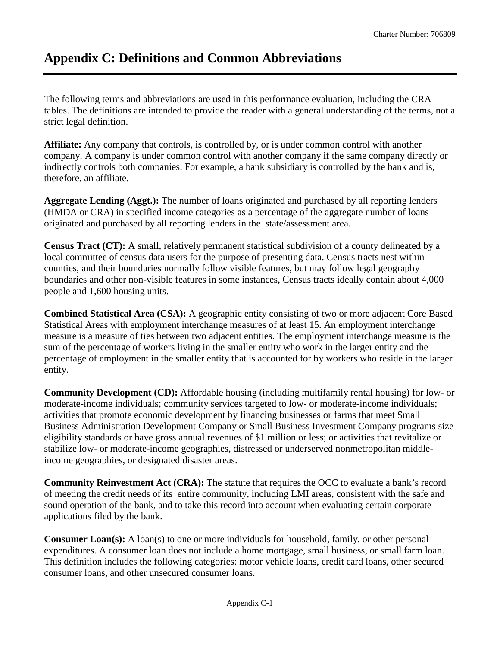# **Appendix C: Definitions and Common Abbreviations**

The following terms and abbreviations are used in this performance evaluation, including the CRA tables. The definitions are intended to provide the reader with a general understanding of the terms, not a strict legal definition.

**Affiliate:** Any company that controls, is controlled by, or is under common control with another company. A company is under common control with another company if the same company directly or indirectly controls both companies. For example, a bank subsidiary is controlled by the bank and is, therefore, an affiliate.

**Aggregate Lending (Aggt.):** The number of loans originated and purchased by all reporting lenders (HMDA or CRA) in specified income categories as a percentage of the aggregate number of loans originated and purchased by all reporting lenders in the state/assessment area.

**Census Tract (CT):** A small, relatively permanent statistical subdivision of a county delineated by a local committee of census data users for the purpose of presenting data. Census tracts nest within counties, and their boundaries normally follow visible features, but may follow legal geography boundaries and other non-visible features in some instances, Census tracts ideally contain about 4,000 people and 1,600 housing units.

**Combined Statistical Area (CSA):** A geographic entity consisting of two or more adjacent Core Based Statistical Areas with employment interchange measures of at least 15. An employment interchange measure is a measure of ties between two adjacent entities. The employment interchange measure is the sum of the percentage of workers living in the smaller entity who work in the larger entity and the percentage of employment in the smaller entity that is accounted for by workers who reside in the larger entity.

**Community Development (CD):** Affordable housing (including multifamily rental housing) for low- or moderate-income individuals; community services targeted to low- or moderate-income individuals; activities that promote economic development by financing businesses or farms that meet Small Business Administration Development Company or Small Business Investment Company programs size eligibility standards or have gross annual revenues of \$1 million or less; or activities that revitalize or stabilize low- or moderate-income geographies, distressed or underserved nonmetropolitan middleincome geographies, or designated disaster areas.

**Community Reinvestment Act (CRA):** The statute that requires the OCC to evaluate a bank's record of meeting the credit needs of its entire community, including LMI areas, consistent with the safe and sound operation of the bank, and to take this record into account when evaluating certain corporate applications filed by the bank.

**Consumer Loan(s):** A loan(s) to one or more individuals for household, family, or other personal expenditures. A consumer loan does not include a home mortgage, small business, or small farm loan. This definition includes the following categories: motor vehicle loans, credit card loans, other secured consumer loans, and other unsecured consumer loans.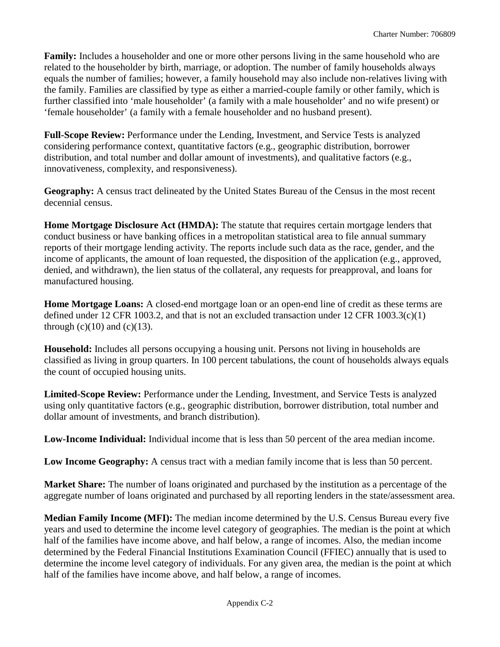**Family:** Includes a householder and one or more other persons living in the same household who are related to the householder by birth, marriage, or adoption. The number of family households always equals the number of families; however, a family household may also include non-relatives living with the family. Families are classified by type as either a married-couple family or other family, which is further classified into 'male householder' (a family with a male householder' and no wife present) or 'female householder' (a family with a female householder and no husband present).

**Full-Scope Review:** Performance under the Lending, Investment, and Service Tests is analyzed considering performance context, quantitative factors (e.g., geographic distribution, borrower distribution, and total number and dollar amount of investments), and qualitative factors (e.g., innovativeness, complexity, and responsiveness).

**Geography:** A census tract delineated by the United States Bureau of the Census in the most recent decennial census.

**Home Mortgage Disclosure Act (HMDA):** The statute that requires certain mortgage lenders that conduct business or have banking offices in a metropolitan statistical area to file annual summary reports of their mortgage lending activity. The reports include such data as the race, gender, and the income of applicants, the amount of loan requested, the disposition of the application (e.g., approved, denied, and withdrawn), the lien status of the collateral, any requests for preapproval, and loans for manufactured housing.

**Home Mortgage Loans:** A closed-end mortgage loan or an open-end line of credit as these terms are defined under 12 CFR 1003.2, and that is not an excluded transaction under 12 CFR 1003.3(c)(1) through  $(c)(10)$  and  $(c)(13)$ .

**Household:** Includes all persons occupying a housing unit. Persons not living in households are classified as living in group quarters. In 100 percent tabulations, the count of households always equals the count of occupied housing units.

**Limited-Scope Review:** Performance under the Lending, Investment, and Service Tests is analyzed using only quantitative factors (e.g., geographic distribution, borrower distribution, total number and dollar amount of investments, and branch distribution).

**Low-Income Individual:** Individual income that is less than 50 percent of the area median income.

**Low Income Geography:** A census tract with a median family income that is less than 50 percent.

**Market Share:** The number of loans originated and purchased by the institution as a percentage of the aggregate number of loans originated and purchased by all reporting lenders in the state/assessment area.

**Median Family Income (MFI):** The median income determined by the U.S. Census Bureau every five years and used to determine the income level category of geographies. The median is the point at which half of the families have income above, and half below, a range of incomes. Also, the median income determined by the Federal Financial Institutions Examination Council (FFIEC) annually that is used to determine the income level category of individuals. For any given area, the median is the point at which half of the families have income above, and half below, a range of incomes.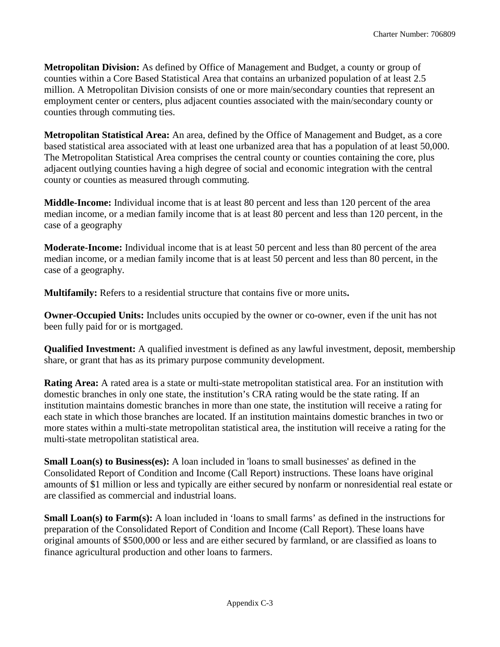**Metropolitan Division:** As defined by Office of Management and Budget, a county or group of counties within a Core Based Statistical Area that contains an urbanized population of at least 2.5 million. A Metropolitan Division consists of one or more main/secondary counties that represent an employment center or centers, plus adjacent counties associated with the main/secondary county or counties through commuting ties.

**Metropolitan Statistical Area:** An area, defined by the Office of Management and Budget, as a core based statistical area associated with at least one urbanized area that has a population of at least 50,000. The Metropolitan Statistical Area comprises the central county or counties containing the core, plus adjacent outlying counties having a high degree of social and economic integration with the central county or counties as measured through commuting.

**Middle-Income:** Individual income that is at least 80 percent and less than 120 percent of the area median income, or a median family income that is at least 80 percent and less than 120 percent, in the case of a geography

**Moderate-Income:** Individual income that is at least 50 percent and less than 80 percent of the area median income, or a median family income that is at least 50 percent and less than 80 percent, in the case of a geography.

**Multifamily:** Refers to a residential structure that contains five or more units**.**

**Owner-Occupied Units:** Includes units occupied by the owner or co-owner, even if the unit has not been fully paid for or is mortgaged.

**Qualified Investment:** A qualified investment is defined as any lawful investment, deposit, membership share, or grant that has as its primary purpose community development.

**Rating Area:** A rated area is a state or multi-state metropolitan statistical area. For an institution with domestic branches in only one state, the institution's CRA rating would be the state rating. If an institution maintains domestic branches in more than one state, the institution will receive a rating for each state in which those branches are located. If an institution maintains domestic branches in two or more states within a multi-state metropolitan statistical area, the institution will receive a rating for the multi-state metropolitan statistical area.

**Small Loan(s) to Business(es):** A loan included in 'loans to small businesses' as defined in the Consolidated Report of Condition and Income (Call Report) instructions. These loans have original amounts of \$1 million or less and typically are either secured by nonfarm or nonresidential real estate or are classified as commercial and industrial loans.

**Small Loan(s) to Farm(s):** A loan included in 'loans to small farms' as defined in the instructions for preparation of the Consolidated Report of Condition and Income (Call Report). These loans have original amounts of \$500,000 or less and are either secured by farmland, or are classified as loans to finance agricultural production and other loans to farmers.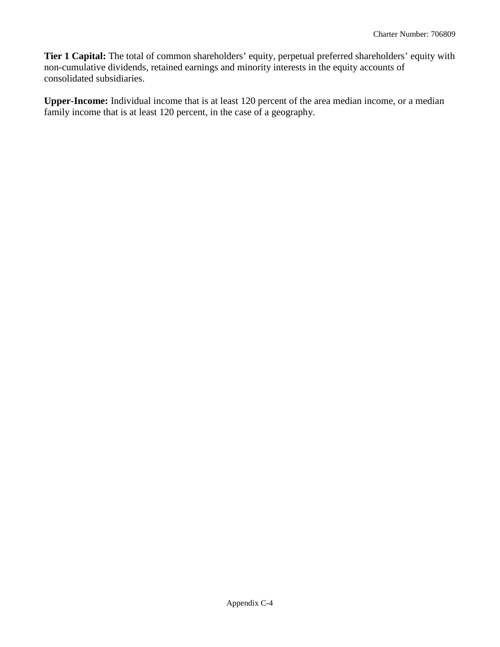**Tier 1 Capital:** The total of common shareholders' equity, perpetual preferred shareholders' equity with non-cumulative dividends, retained earnings and minority interests in the equity accounts of consolidated subsidiaries.

**Upper-Income:** Individual income that is at least 120 percent of the area median income, or a median family income that is at least 120 percent, in the case of a geography.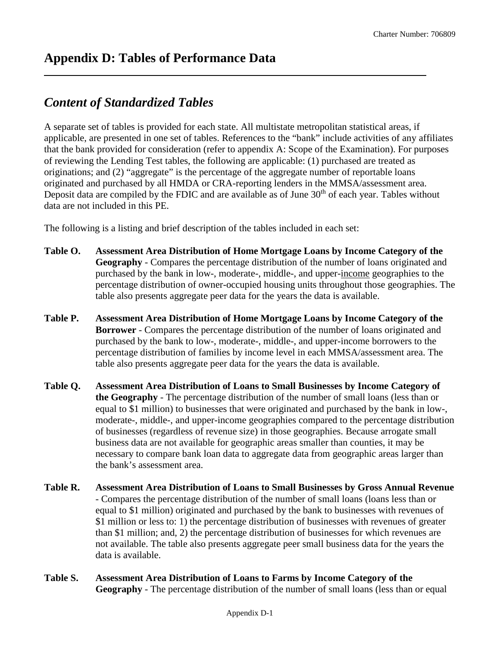## *Content of Standardized Tables*

A separate set of tables is provided for each state. All multistate metropolitan statistical areas, if applicable, are presented in one set of tables. References to the "bank" include activities of any affiliates that the bank provided for consideration (refer to appendix A: Scope of the Examination). For purposes of reviewing the Lending Test tables, the following are applicable: (1) purchased are treated as originations; and (2) "aggregate" is the percentage of the aggregate number of reportable loans originated and purchased by all HMDA or CRA-reporting lenders in the MMSA/assessment area. Deposit data are compiled by the FDIC and are available as of June  $30<sup>th</sup>$  of each year. Tables without data are not included in this PE.

The following is a listing and brief description of the tables included in each set:

- **Table O. Assessment Area Distribution of Home Mortgage Loans by Income Category of the Geography** - Compares the percentage distribution of the number of loans originated and purchased by the bank in low-, moderate-, middle-, and upper-income geographies to the percentage distribution of owner-occupied housing units throughout those geographies. The table also presents aggregate peer data for the years the data is available.
- **Table P. Assessment Area Distribution of Home Mortgage Loans by Income Category of the Borrower** - Compares the percentage distribution of the number of loans originated and purchased by the bank to low-, moderate-, middle-, and upper-income borrowers to the percentage distribution of families by income level in each MMSA/assessment area. The table also presents aggregate peer data for the years the data is available.
- **Table Q. Assessment Area Distribution of Loans to Small Businesses by Income Category of the Geography** - The percentage distribution of the number of small loans (less than or equal to \$1 million) to businesses that were originated and purchased by the bank in low-, moderate-, middle-, and upper-income geographies compared to the percentage distribution of businesses (regardless of revenue size) in those geographies. Because arrogate small business data are not available for geographic areas smaller than counties, it may be necessary to compare bank loan data to aggregate data from geographic areas larger than the bank's assessment area.
- **Table R. Assessment Area Distribution of Loans to Small Businesses by Gross Annual Revenue** - Compares the percentage distribution of the number of small loans (loans less than or equal to \$1 million) originated and purchased by the bank to businesses with revenues of \$1 million or less to: 1) the percentage distribution of businesses with revenues of greater than \$1 million; and, 2) the percentage distribution of businesses for which revenues are not available. The table also presents aggregate peer small business data for the years the data is available.
- **Table S. Assessment Area Distribution of Loans to Farms by Income Category of the Geography** - The percentage distribution of the number of small loans (less than or equal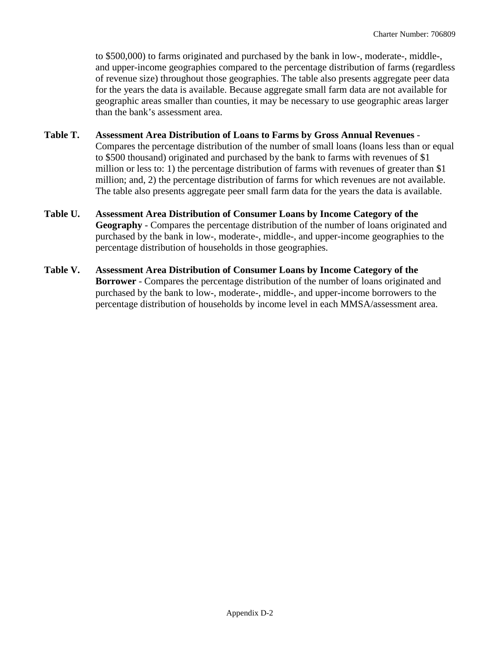to \$500,000) to farms originated and purchased by the bank in low-, moderate-, middle-, and upper-income geographies compared to the percentage distribution of farms (regardless of revenue size) throughout those geographies. The table also presents aggregate peer data for the years the data is available. Because aggregate small farm data are not available for geographic areas smaller than counties, it may be necessary to use geographic areas larger than the bank's assessment area.

### **Table T. Assessment Area Distribution of Loans to Farms by Gross Annual Revenues** - Compares the percentage distribution of the number of small loans (loans less than or equal to \$500 thousand) originated and purchased by the bank to farms with revenues of \$1 million or less to: 1) the percentage distribution of farms with revenues of greater than \$1 million; and, 2) the percentage distribution of farms for which revenues are not available. The table also presents aggregate peer small farm data for the years the data is available.

- **Table U. Assessment Area Distribution of Consumer Loans by Income Category of the Geography** - Compares the percentage distribution of the number of loans originated and purchased by the bank in low-, moderate-, middle-, and upper-income geographies to the percentage distribution of households in those geographies.
- **Table V. Assessment Area Distribution of Consumer Loans by Income Category of the Borrower** - Compares the percentage distribution of the number of loans originated and purchased by the bank to low-, moderate-, middle-, and upper-income borrowers to the percentage distribution of households by income level in each MMSA/assessment area.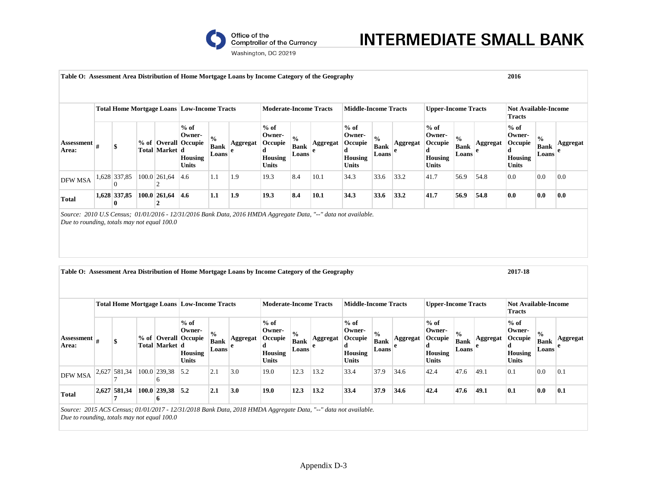

# **INTERMEDIATE SMALL BANK**

Washington, DC 20219

| Table O: Assessment Area Distribution of Home Mortgage Loans by Income Category of the Geography                                                              |                          |                              |                                                                  |                                       |                                 |                                                             |                                       |          |                                                                    |                                       |                      |                                                                    |                                       |               | 2016                                                        |                                       |               |  |
|---------------------------------------------------------------------------------------------------------------------------------------------------------------|--------------------------|------------------------------|------------------------------------------------------------------|---------------------------------------|---------------------------------|-------------------------------------------------------------|---------------------------------------|----------|--------------------------------------------------------------------|---------------------------------------|----------------------|--------------------------------------------------------------------|---------------------------------------|---------------|-------------------------------------------------------------|---------------------------------------|---------------|--|
|                                                                                                                                                               |                          |                              |                                                                  |                                       |                                 |                                                             |                                       |          |                                                                    |                                       |                      |                                                                    |                                       |               |                                                             |                                       |               |  |
|                                                                                                                                                               |                          |                              | <b>Total Home Mortgage Loans Low-Income Tracts</b>               |                                       |                                 | <b>Moderate-Income Tracts</b>                               |                                       |          | <b>Middle-Income Tracts</b>                                        |                                       |                      | <b>Upper-Income Tracts</b>                                         |                                       |               | <b>Not Available-Income</b><br><b>Tracts</b>                |                                       |               |  |
| <b>Assessment</b><br>Area:                                                                                                                                    |                          | Total Market d               | $%$ of<br>Owner-<br>% of   Overall   Occupie<br>Housing<br>Units | $\frac{0}{0}$<br><b>Bank</b><br>Loans | <b>Aggregat</b><br>$\mathbf{e}$ | $%$ of<br>Owner-<br>Occupie<br>d<br>Housing<br><b>Units</b> | $\frac{0}{0}$<br><b>Bank</b><br>Loans | Aggregat | $%$ of<br>Owner-<br>Occupie<br>d<br><b>Housing</b><br><b>Units</b> | $\frac{0}{0}$<br><b>Bank</b><br>Loans | <b>Aggregat</b><br>e | $%$ of<br>Owner-<br>Occupie<br>d<br><b>Housing</b><br><b>Units</b> | $\frac{1}{2}$<br>Bank<br>Loans        | Aggregat<br>e | $%$ of<br>Owner-<br>Occupie<br>d<br><b>Housing</b><br>Units | $\frac{0}{0}$<br><b>Bank</b><br>Loans | Aggregat<br>e |  |
| DFW MSA                                                                                                                                                       | 1,628 337,85<br>$\Omega$ | 100.0 261,64<br>2            | 4.6                                                              | 1.1                                   | 1.9                             | 19.3                                                        | 8.4                                   | 10.1     | 34.3                                                               | 33.6                                  | 33.2                 | 41.7                                                               | 56.9                                  | 54.8          | 0.0                                                         | 0.0                                   | 0.0           |  |
| <b>Total</b>                                                                                                                                                  | 1,628 337,85<br>0        | 100.0 261,64<br>$\mathbf{2}$ | 4.6                                                              | 1.1                                   | 1.9                             | 19.3                                                        | 8.4                                   | 10.1     | 34.3                                                               | 33.6                                  | 33.2                 | 41.7                                                               | 56.9                                  | 54.8          | 0.0                                                         | 0.0                                   | 0.0           |  |
| Table O: Assessment Area Distribution of Home Mortgage Loans by Income Category of the Geography                                                              |                          |                              | <b>Total Home Mortgage Loans Low-Income Tracts</b>               |                                       |                                 | <b>Moderate-Income Tracts</b>                               |                                       |          |                                                                    |                                       |                      | <b>Upper-Income Tracts</b>                                         |                                       |               | 2017-18<br><b>Not Available-Income</b>                      |                                       |               |  |
|                                                                                                                                                               |                          |                              |                                                                  |                                       |                                 |                                                             |                                       |          | <b>Middle-Income Tracts</b>                                        |                                       |                      |                                                                    |                                       |               | <b>Tracts</b>                                               |                                       |               |  |
| <b>Assessment</b><br>Area:                                                                                                                                    |                          | Total Market d               | $%$ of<br>Owner-<br>% of   Overall   Occupie<br>Housing<br>Units | $\frac{0}{0}$<br><b>Bank</b><br>Loans | <b>Aggregat</b><br>$\mathbf{e}$ | $%$ of<br>Owner-<br>Occupie<br>d<br>Housing<br><b>Units</b> | $\frac{0}{0}$<br><b>Bank</b><br>Loans | Aggregat | $%$ of<br>Owner-<br>Occupie<br>d<br>Housing<br><b>Units</b>        | $\frac{0}{0}$<br><b>Bank</b><br>Loans | Aggregat<br>e        | $\%$ of<br>Owner-<br>Occupie<br>d<br>Housing<br>Units              | $\frac{0}{0}$<br><b>Bank</b><br>Loans | Aggregat<br>e | $%$ of<br>Owner-<br>Occupie<br>d<br>Housing<br>Units        | $\frac{0}{0}$<br><b>Bank</b><br>Loans | Aggregat<br>e |  |
| <b>DFW MSA</b>                                                                                                                                                | 2,627 581,34             | 100.0 239,38<br>6            | 5.2                                                              | 2.1                                   | 3.0                             | 19.0                                                        | 12.3                                  | 13.2     | 33.4                                                               | 37.9                                  | 34.6                 | 42.4                                                               | 47.6                                  | 49.1          | 0.1                                                         | 0.0                                   | 0.1           |  |
| Total                                                                                                                                                         | 2,627 581,34<br>7        | $100.0$ 239,38 5.2<br>6      |                                                                  | 2.1                                   | 3.0                             | 19.0                                                        | 12.3                                  | 13.2     | 33.4                                                               | 37.9                                  | 34.6                 | 42.4                                                               | 47.6                                  | 49.1          | 0.1                                                         | 0.0                                   | 0.1           |  |
| Source: 2015 ACS Census; 01/01/2017 - 12/31/2018 Bank Data, 2018 HMDA Aggregate Data, "--" data not available.<br>Due to rounding, totals may not equal 100.0 |                          |                              |                                                                  |                                       |                                 |                                                             |                                       |          |                                                                    |                                       |                      |                                                                    |                                       |               |                                                             |                                       |               |  |